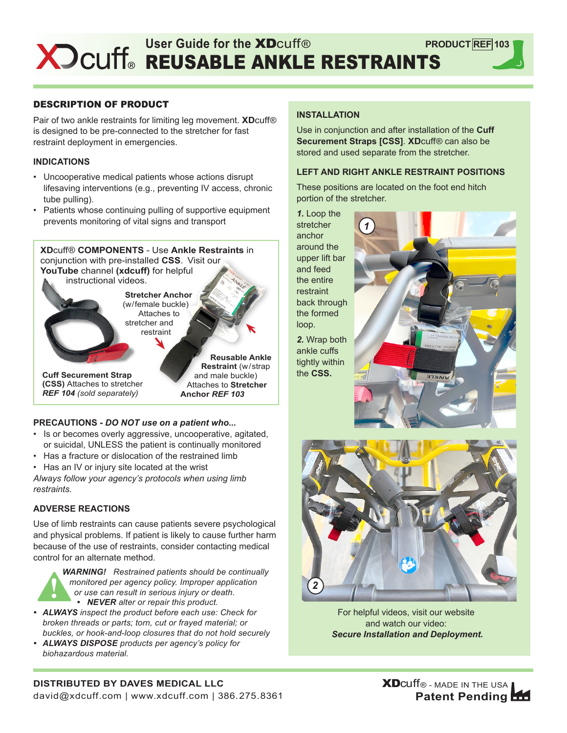### DESCRIPTION OF PRODUCT

Pair of two ankle restraints for limiting leg movement. **XD**cuff® is designed to be pre-connected to the stretcher for fast restraint deployment in emergencies.

#### **INDICATIONS**

- Uncooperative medical patients whose actions disrupt lifesaving interventions (e.g., preventing IV access, chronic tube pulling).
- Patients whose continuing pulling of supportive equipment prevents monitoring of vital signs and transport



## **PRECAUTIONS -** *DO NOT use on a patient who...*

- Is or becomes overly aggressive, uncooperative, agitated, or suicidal, UNLESS the patient is continually monitored
- Has a fracture or dislocation of the restrained limb
- Has an IV or injury site located at the wrist

*Always follow your agency's protocols when using limb restraints.*

## **ADVERSE REACTIONS**

Use of limb restraints can cause patients severe psychological and physical problems. If patient is likely to cause further harm because of the use of restraints, consider contacting medical control for an alternate method.



- *• ALWAYS inspect the product before each use: Check for broken threads or parts; torn, cut or frayed material; or buckles, or hook-and-loop closures that do not hold securely*
- *• ALWAYS DISPOSE products per agency's policy for biohazardous material.*

#### **INSTALLATION**

Use in conjunction and after installation of the **Cuff Securement Straps [CSS]**. **XD**cuff® can also be stored and used separate from the stretcher.

#### **LEFT AND RIGHT ANKLE RESTRAINT POSITIONS**

These positions are located on the foot end hitch portion of the stretcher.

*1*

*1.* Loop the **stretcher** anchor around the upper lift bar and feed the entire restraint back through the formed loop.

ankle cuffs tightly within the **CSS.**

*2*



For helpful videos, visit our website and watch our video: *Secure Installation and Deployment.*



# **DISTRIBUTED BY DAVES MEDICAL LLC**

david@xdcuff.com | www.xdcuff.com | 386.275.8361